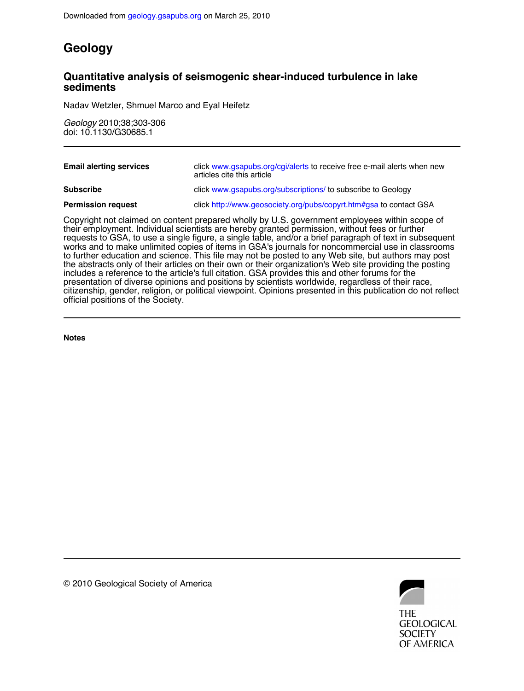## **Geology**

### **sediments Quantitative analysis of seismogenic shear-induced turbulence in lake**

Nadav Wetzler, Shmuel Marco and Eyal Heifetz

doi: 10.1130/G30685.1 *Geology* 2010;38;303-306

| <b>Email alerting services</b>                                                                                                                                                                  | click www.gsapubs.org/cgi/alerts to receive free e-mail alerts when new<br>articles cite this article |
|-------------------------------------------------------------------------------------------------------------------------------------------------------------------------------------------------|-------------------------------------------------------------------------------------------------------|
| <b>Subscribe</b>                                                                                                                                                                                | click www.gsapubs.org/subscriptions/ to subscribe to Geology                                          |
| <b>Permission request</b>                                                                                                                                                                       | click http://www.geosociety.org/pubs/copyrt.htm#gsa to contact GSA                                    |
| Copyright not claimed on content prepared wholly by U.S. government employees within scope of<br>their employment. Individual scientists are hereby granted permission, without fees or further |                                                                                                       |

official positions of the Society. citizenship, gender, religion, or political viewpoint. Opinions presented in this publication do not reflect presentation of diverse opinions and positions by scientists worldwide, regardless of their race, includes a reference to the article's full citation. GSA provides this and other forums for the the abstracts only of their articles on their own or their organization's Web site providing the posting to further education and science. This file may not be posted to any Web site, but authors may post works and to make unlimited copies of items in GSA's journals for noncommercial use in classrooms requests to GSA, to use a single figure, a single table, and/or a brief paragraph of text in subsequent their employment. Individual scientists are hereby granted permission, without fees or further

**Notes**



© 2010 Geological Society of America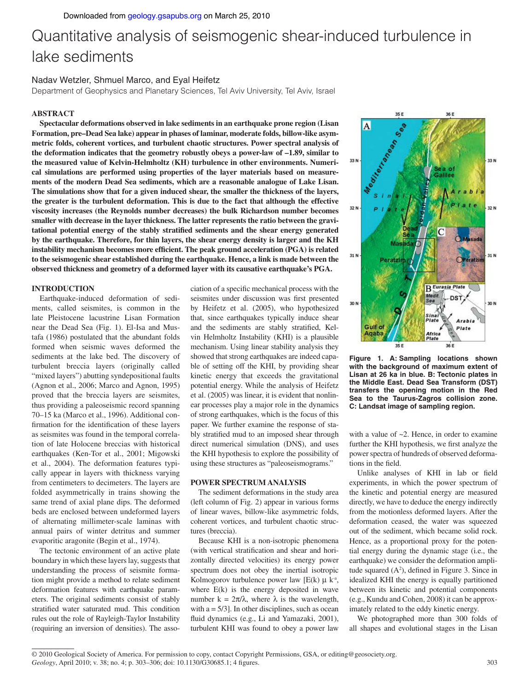# Quantitative analysis of seismogenic shear-induced turbulence in lake sediments

#### Nadav Wetzler, Shmuel Marco, and Eyal Heifetz

Department of Geophysics and Planetary Sciences, Tel Aviv University, Tel Aviv, Israel

#### **ABSTRACT**

**Spectacular deformations observed in lake sediments in an earthquake prone region (Lisan Formation, pre–Dead Sea lake) appear in phases of laminar, moderate folds, billow-like asymmetric folds, coherent vortices, and turbulent chaotic structures. Power spectral analysis of the deformation indicates that the geometry robustly obeys a power-law of –1.89, similar to the measured value of Kelvin-Helmholtz (KH) turbulence in other environments. Numerical simulations are performed using properties of the layer materials based on measurements of the modern Dead Sea sediments, which are a reasonable analogue of Lake Lisan. The simulations show that for a given induced shear, the smaller the thickness of the layers, the greater is the turbulent deformation. This is due to the fact that although the effective viscosity increases (the Reynolds number decreases) the bulk Richardson number becomes smaller with decrease in the layer thickness. The latter represents the ratio between the gravi**tational potential energy of the stably stratified sediments and the shear energy generated **by the earthquake. Therefore, for thin layers, the shear energy density is larger and the KH**  instability mechanism becomes more efficient. The peak ground acceleration (PGA) is related **to the seismogenic shear established during the earthquake. Hence, a link is made between the observed thickness and geometry of a deformed layer with its causative earthquake's PGA.**

#### **INTRODUCTION**

Earthquake-induced deformation of sediments, called seismites, is common in the late Pleistocene lacustrine Lisan Formation near the Dead Sea (Fig. 1). El-Isa and Mustafa (1986) postulated that the abundant folds formed when seismic waves deformed the sediments at the lake bed. The discovery of turbulent breccia layers (originally called "mixed layers") abutting syndepositional faults (Agnon et al., 2006; Marco and Agnon, 1995) proved that the breccia layers are seismites, thus providing a paleoseismic record spanning 70–15 ka (Marco et al., 1996). Additional confirmation for the identification of these layers as seismites was found in the temporal correlation of late Holocene breccias with historical earthquakes (Ken-Tor et al., 2001; Migowski et al., 2004). The deformation features typically appear in layers with thickness varying from centimeters to decimeters. The layers are folded asymmetrically in trains showing the same trend of axial plane dips. The deformed beds are enclosed between undeformed layers of alternating millimeter-scale laminas with annual pairs of winter detritus and summer evaporitic aragonite (Begin et al., 1974).

The tectonic environment of an active plate boundary in which these layers lay, suggests that understanding the process of seismite formation might provide a method to relate sediment deformation features with earthquake parameters. The original sediments consist of stably stratified water saturated mud. This condition rules out the role of Rayleigh-Taylor Instability (requiring an inversion of densities). The asso-

ciation of a specific mechanical process with the seismites under discussion was first presented by Heifetz et al. (2005), who hypothesized that, since earthquakes typically induce shear and the sediments are stably stratified, Kelvin Helmholtz Instability (KHI) is a plausible mechanism. Using linear stability analysis they showed that strong earthquakes are indeed capable of setting off the KHI, by providing shear kinetic energy that exceeds the gravitational potential energy. While the analysis of Heifetz et al. (2005) was linear, it is evident that nonlinear processes play a major role in the dynamics of strong earthquakes, which is the focus of this paper. We further examine the response of stably stratified mud to an imposed shear through direct numerical simulation (DNS), and uses the KHI hypothesis to explore the possibility of using these structures as "paleoseismograms."

#### **POWER SPECTRUM ANALYSIS**

The sediment deformations in the study area (left column of Fig. 2) appear in various forms of linear waves, billow-like asymmetric folds, coherent vortices, and turbulent chaotic structures (breccia).

Because KHI is a non-isotropic phenomena (with vertical stratification and shear and horizontally directed velocities) its energy power spectrum does not obey the inertial isotropic Kolmogorov turbulence power law  $[E(k) \quad k^a,$ where E(k) is the energy deposited in wave number  $k = 2\pi/\lambda$ , where  $\lambda$  is the wavelength, with  $a = 5/3$ . In other disciplines, such as ocean fluid dynamics (e.g., Li and Yamazaki, 2001), turbulent KHI was found to obey a power law



**Figure 1. A: Sampling locations shown with the background of maximum extent of Lisan at 26 ka in blue. B: Tectonic plates in the Middle East. Dead Sea Transform (DST) transfers the opening motion in the Red Sea to the Taurus-Zagros collision zone. C: Landsat image of sampling region.**

with a value of ~2. Hence, in order to examine further the KHI hypothesis, we first analyze the power spectra of hundreds of observed deformations in the field.

Unlike analyses of KHI in lab or field experiments, in which the power spectrum of the kinetic and potential energy are measured directly, we have to deduce the energy indirectly from the motionless deformed layers. After the deformation ceased, the water was squeezed out of the sediment, which became solid rock. Hence, as a proportional proxy for the potential energy during the dynamic stage (i.e., the earthquake) we consider the deformation amplitude squared  $(A^2)$ , defined in Figure 3. Since in idealized KHI the energy is equally partitioned between its kinetic and potential components (e.g., Kundu and Cohen, 2008) it can be approximately related to the eddy kinetic energy.

We photographed more than 300 folds of all shapes and evolutional stages in the Lisan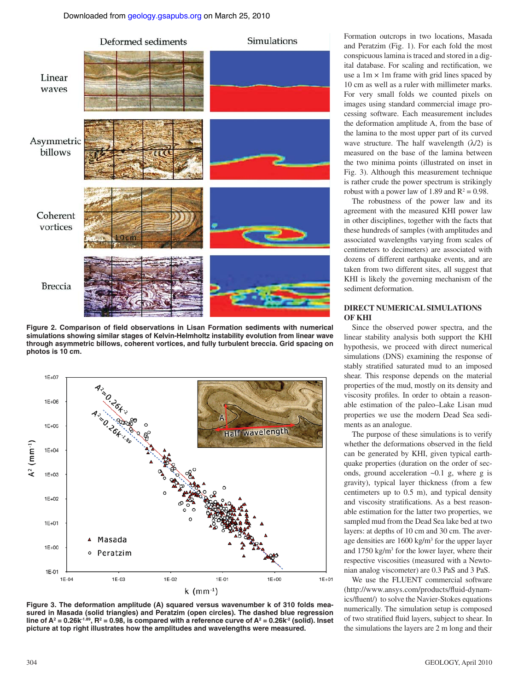

Figure 2. Comparison of field observations in Lisan Formation sediments with numerical **simulations showing similar stages of Kelvin-Helmholtz instability evolution from linear wave through asymmetric billows, coherent vortices, and fully turbulent breccia. Grid spacing on photos is 10 cm.**



**Figure 3. The deformation amplitude (A) squared versus wavenumber k of 310 folds measured in Masada (solid triangles) and Peratzim (open circles). The dashed blue regression**  line of  $A^2 = 0.26k^{-1.89}$ ,  $R^2 = 0.98$ , is compared with a reference curve of  $A^2 = 0.26k^{-2}$  (solid). Inset **picture at top right illustrates how the amplitudes and wavelengths were measured.**

Formation outcrops in two locations, Masada and Peratzim (Fig. 1). For each fold the most conspicuous lamina is traced and stored in a digital database. For scaling and rectification, we use a  $1m \times 1m$  frame with grid lines spaced by 10 cm as well as a ruler with millimeter marks. For very small folds we counted pixels on images using standard commercial image processing software. Each measurement includes the deformation amplitude A, from the base of the lamina to the most upper part of its curved wave structure. The half wavelength  $(\lambda/2)$  is measured on the base of the lamina between the two minima points (illustrated on inset in Fig. 3). Although this measurement technique is rather crude the power spectrum is strikingly robust with a power law of 1.89 and  $R^2 = 0.98$ .

The robustness of the power law and its agreement with the measured KHI power law in other disciplines, together with the facts that these hundreds of samples (with amplitudes and associated wavelengths varying from scales of centimeters to decimeters) are associated with dozens of different earthquake events, and are taken from two different sites, all suggest that KHI is likely the governing mechanism of the sediment deformation.

#### **DIRECT NUMERICAL SIMULATIONS OF KHI**

Since the observed power spectra, and the linear stability analysis both support the KHI hypothesis, we proceed with direct numerical simulations (DNS) examining the response of stably stratified saturated mud to an imposed shear. This response depends on the material properties of the mud, mostly on its density and viscosity profiles. In order to obtain a reasonable estimation of the paleo–Lake Lisan mud properties we use the modern Dead Sea sediments as an analogue.

The purpose of these simulations is to verify whether the deformations observed in the field can be generated by KHI, given typical earthquake properties (duration on the order of seconds, ground acceleration ~0.1 g, where g is gravity), typical layer thickness (from a few centimeters up to 0.5 m), and typical density and viscosity stratifications. As a best reasonable estimation for the latter two properties, we sampled mud from the Dead Sea lake bed at two layers: at depths of 10 cm and 30 cm. The average densities are 1600 kg/m3 for the upper layer and 1750 kg/m<sup>3</sup> for the lower layer, where their respective viscosities (measured with a Newtonian analog viscometer) are 0.3 PaS and 3 PaS.

We use the FLUENT commercial software (http://www.ansys.com/products/fluid-dynamics/fluent/) to solve the Navier-Stokes equations numerically. The simulation setup is composed of two stratified fluid layers, subject to shear. In the simulations the layers are 2 m long and their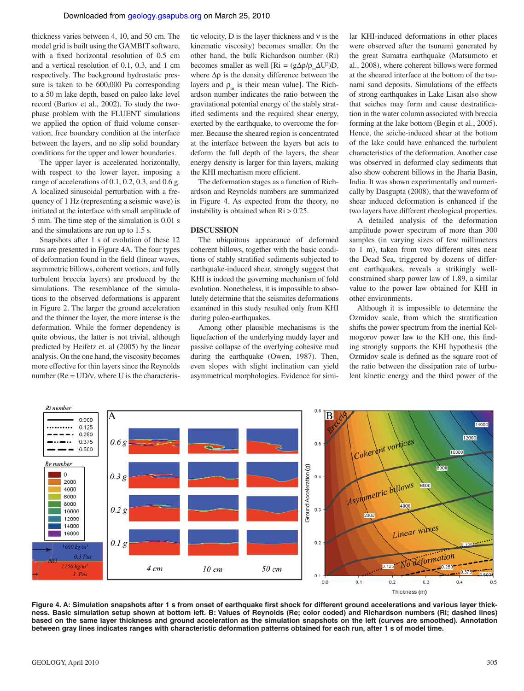thickness varies between 4, 10, and 50 cm. The model grid is built using the GAMBIT software, with a fixed horizontal resolution of 0.5 cm and a vertical resolution of 0.1, 0.3, and 1 cm respectively. The background hydrostatic pressure is taken to be 600,000 Pa corresponding to a 50 m lake depth, based on paleo lake level record (Bartov et al., 2002). To study the twophase problem with the FLUENT simulations we applied the option of fluid volume conservation, free boundary condition at the interface between the layers, and no slip solid boundary conditions for the upper and lower boundaries.

The upper layer is accelerated horizontally, with respect to the lower layer, imposing a range of accelerations of 0.1, 0.2, 0.3, and 0.6 g. A localized sinusoidal perturbation with a frequency of 1 Hz (representing a seismic wave) is initiated at the interface with small amplitude of 5 mm. The time step of the simulation is 0.01 s and the simulations are run up to 1.5 s.

Snapshots after 1 s of evolution of these 12 runs are presented in Figure 4A. The four types of deformation found in the field (linear waves, asymmetric billows, coherent vortices, and fully turbulent breccia layers) are produced by the simulations. The resemblance of the simulations to the observed deformations is apparent in Figure 2. The larger the ground acceleration and the thinner the layer, the more intense is the deformation. While the former dependency is quite obvious, the latter is not trivial, although predicted by Heifetz et. al (2005) by the linear analysis. On the one hand, the viscosity becomes more effective for thin layers since the Reynolds number ( $Re = U D/v$ , where U is the characteristic velocity, D is the layer thickness and ν is the kinematic viscosity) becomes smaller. On the other hand, the bulk Richardson number (Ri) becomes smaller as well [Ri =  $(g\Delta \rho / \rho_{m} \Delta U^{2})D$ , where ∆ρ is the density difference between the layers and  $\rho_m$  is their mean value]. The Richardson number indicates the ratio between the gravitational potential energy of the stably stratified sediments and the required shear energy, exerted by the earthquake, to overcome the former. Because the sheared region is concentrated at the interface between the layers but acts to deform the full depth of the layers, the shear energy density is larger for thin layers, making the KHI mechanism more efficient.

The deformation stages as a function of Richardson and Reynolds numbers are summarized in Figure 4. As expected from the theory, no instability is obtained when  $\mathrm{Ri} > 0.25$ .

#### **DISCUSSION**

The ubiquitous appearance of deformed coherent billows, together with the basic conditions of stably stratified sediments subjected to earthquake-induced shear, strongly suggest that KHI is indeed the governing mechanism of fold evolution. Nonetheless, it is impossible to absolutely determine that the seismites deformations examined in this study resulted only from KHI during paleo-earthquakes.

Among other plausible mechanisms is the liquefaction of the underlying muddy layer and passive collapse of the overlying cohesive mud during the earthquake (Owen, 1987). Then, even slopes with slight inclination can yield asymmetrical morphologies. Evidence for similar KHI-induced deformations in other places were observed after the tsunami generated by the great Sumatra earthquake (Matsumoto et al., 2008), where coherent billows were formed at the sheared interface at the bottom of the tsunami sand deposits. Simulations of the effects of strong earthquakes in Lake Lisan also show that seiches may form and cause destratification in the water column associated with breccia forming at the lake bottom (Begin et al., 2005). Hence, the seiche-induced shear at the bottom of the lake could have enhanced the turbulent characteristics of the deformation. Another case was observed in deformed clay sediments that also show coherent billows in the Jharia Basin, India. It was shown experimentally and numerically by Dasgupta (2008), that the waveform of shear induced deformation is enhanced if the two layers have different rheological properties.

A detailed analysis of the deformation amplitude power spectrum of more than 300 samples (in varying sizes of few millimeters to 1 m), taken from two different sites near the Dead Sea, triggered by dozens of different earthquakes, reveals a strikingly wellconstrained sharp power law of 1.89, a similar value to the power law obtained for KHI in other environments.

Although it is impossible to determine the Ozmidov scale, from which the stratification shifts the power spectrum from the inertial Kolmogorov power law to the KH one, this finding strongly supports the KHI hypothesis (the Ozmidov scale is defined as the square root of the ratio between the dissipation rate of turbulent kinetic energy and the third power of the



Figure 4. A: Simulation snapshots after 1 s from onset of earthquake first shock for different ground accelerations and various layer thick**ness. Basic simulation setup shown at bottom left. B: Values of Reynolds (Re; color coded) and Richardson numbers (Ri; dashed lines) based on the same layer thickness and ground acceleration as the simulation snapshots on the left (curves are smoothed). Annotation between gray lines indicates ranges with characteristic deformation patterns obtained for each run, after 1 s of model time.**